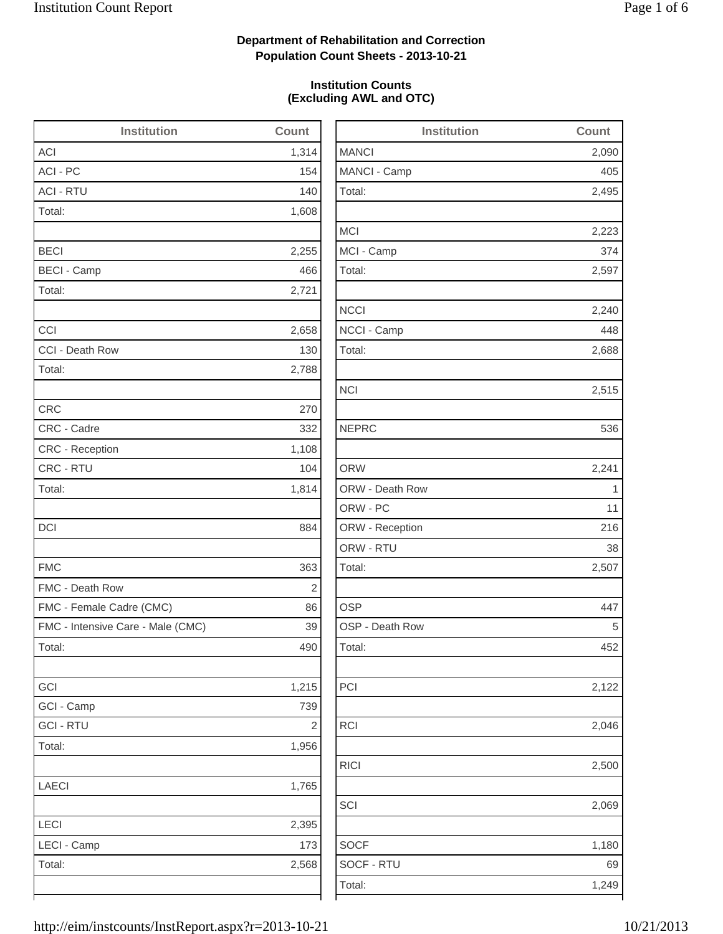2,495

2,223

2,240

2,688

2,515

2,122

2,046

RICI 2,500

2,069

1,180

## **Department of Rehabilitation and Correction Population Count Sheets - 2013-10-21**

### **Institution Counts (Excluding AWL and OTC)**

| <b>Institution</b>                | Count          | <b>Institution</b> | Count        |
|-----------------------------------|----------------|--------------------|--------------|
| <b>ACI</b>                        | 1,314          | <b>MANCI</b>       | 2,090        |
| ACI - PC                          | 154            | MANCI - Camp       | 405          |
| <b>ACI - RTU</b>                  | 140            | Total:             | 2,495        |
| Total:                            | 1,608          |                    |              |
|                                   |                | <b>MCI</b>         | 2,223        |
| <b>BECI</b>                       | 2,255          | MCI - Camp         | 374          |
| <b>BECI - Camp</b>                | 466            | Total:             | 2,597        |
| Total:                            | 2,721          |                    |              |
|                                   |                | <b>NCCI</b>        | 2,240        |
| CCI                               | 2,658          | NCCI - Camp        | 448          |
| CCI - Death Row                   | 130            | Total:             | 2,688        |
| Total:                            | 2,788          |                    |              |
|                                   |                | <b>NCI</b>         | 2,515        |
| <b>CRC</b>                        | 270            |                    |              |
| CRC - Cadre                       | 332            | <b>NEPRC</b>       | 536          |
| CRC - Reception                   | 1,108          |                    |              |
| CRC - RTU                         | 104            | <b>ORW</b>         | 2,241        |
| Total:                            | 1,814          | ORW - Death Row    | $\mathbf{1}$ |
|                                   |                | ORW - PC           | 11           |
| DCI                               | 884            | ORW - Reception    | 216          |
|                                   |                | ORW - RTU          | 38           |
| <b>FMC</b>                        | 363            | Total:             | 2,507        |
| FMC - Death Row                   | $\overline{2}$ |                    |              |
| FMC - Female Cadre (CMC)          | 86             | <b>OSP</b>         | 447          |
| FMC - Intensive Care - Male (CMC) | 39             | OSP - Death Row    | 5            |
| Total:                            | 490            | Total:             | 452          |
| GCI                               | 1,215          | PCI                | 2,122        |
| GCI - Camp                        | 739            |                    |              |
| <b>GCI - RTU</b>                  | $\sqrt{2}$     | RCI                | 2,046        |
| Total:                            | 1,956          |                    |              |
|                                   |                | <b>RICI</b>        | 2,500        |
| <b>LAECI</b>                      | 1,765          |                    |              |
|                                   |                | SCI                | 2,069        |
| LECI                              | 2,395          |                    |              |
| LECI - Camp                       | 173            | <b>SOCF</b>        | 1,180        |
| Total:                            | 2,568          | SOCF - RTU         | 69           |
|                                   |                | Total:             | 1,249        |
|                                   |                |                    |              |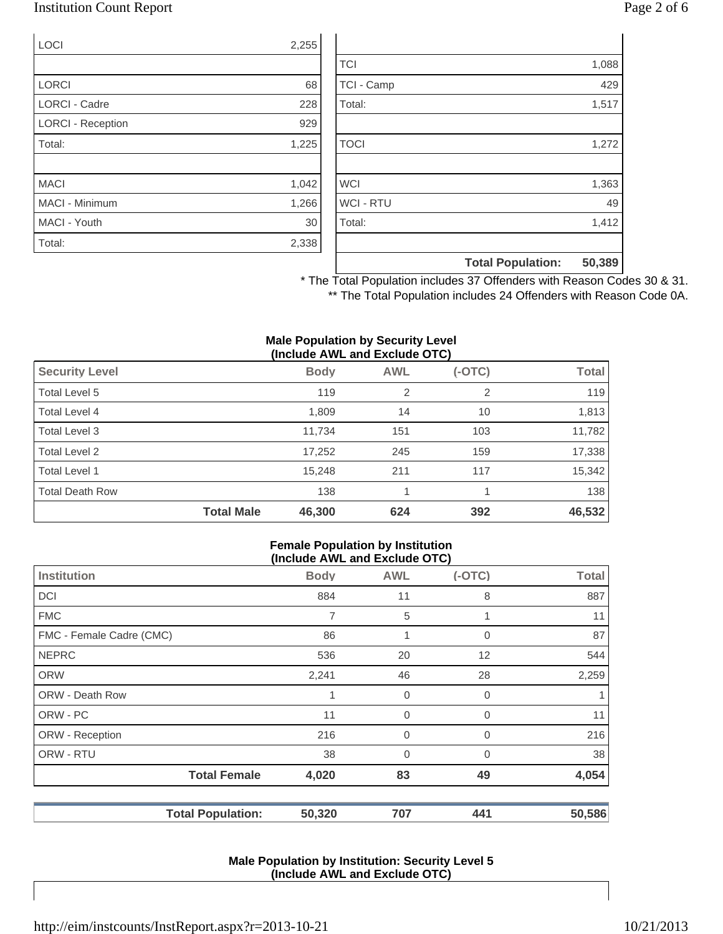## Institution Count Report Page 2 of 6

| <b>LOCI</b>              | 2,255 |
|--------------------------|-------|
|                          |       |
| <b>LORCI</b>             | 68    |
| <b>LORCI - Cadre</b>     | 228   |
| <b>LORCI - Reception</b> | 929   |
| Total:                   | 1,225 |
|                          |       |
| <b>MACI</b>              | 1,042 |
| <b>MACI - Minimum</b>    | 1,266 |
| MACI - Youth             | 30    |
| Total:                   | 2,338 |

|                  | <b>Total Population:</b> | 50,389 |
|------------------|--------------------------|--------|
|                  |                          |        |
| Total:           |                          | 1,412  |
| <b>WCI - RTU</b> |                          | 49     |
| <b>WCI</b>       |                          | 1,363  |
|                  |                          |        |
| <b>TOCI</b>      |                          | 1,272  |
|                  |                          |        |
| Total:           |                          | 1,517  |
| TCI - Camp       |                          | 429    |
| <b>TCI</b>       |                          | 1,088  |

\* The Total Population includes 37 Offenders with Reason Codes 30 & 31. \*\* The Total Population includes 24 Offenders with Reason Code 0A.

#### **Male Population by Security Level (Include AWL and Exclude OTC)**

|                        |                   | , <del>.</del> |                |          |              |
|------------------------|-------------------|----------------|----------------|----------|--------------|
| <b>Security Level</b>  |                   | <b>Body</b>    | <b>AWL</b>     | $(-OTC)$ | <b>Total</b> |
| Total Level 5          |                   | 119            | $\overline{2}$ | 2        | 119          |
| Total Level 4          |                   | 1,809          | 14             | 10       | 1,813        |
| Total Level 3          |                   | 11,734         | 151            | 103      | 11,782       |
| Total Level 2          |                   | 17,252         | 245            | 159      | 17,338       |
| Total Level 1          |                   | 15,248         | 211            | 117      | 15,342       |
| <b>Total Death Row</b> |                   | 138            |                |          | 138          |
|                        | <b>Total Male</b> | 46,300         | 624            | 392      | 46,532       |

#### **Female Population by Institution (Include AWL and Exclude OTC)**

|                          | $(1101000)$ and the thousand $(0.0000)$ |                |          |        |  |  |
|--------------------------|-----------------------------------------|----------------|----------|--------|--|--|
| Institution              | <b>Body</b>                             | <b>AWL</b>     | $(-OTC)$ | Total  |  |  |
| <b>DCI</b>               | 884                                     | 11             | 8        | 887    |  |  |
| <b>FMC</b>               | 7                                       | 5              |          | 11     |  |  |
| FMC - Female Cadre (CMC) | 86                                      | 1              | 0        | 87     |  |  |
| <b>NEPRC</b>             | 536                                     | 20             | 12       | 544    |  |  |
| <b>ORW</b>               | 2,241                                   | 46             | 28       | 2,259  |  |  |
| <b>ORW - Death Row</b>   |                                         | 0              | 0        |        |  |  |
| ORW - PC                 | 11                                      | $\mathbf 0$    | 0        | 11     |  |  |
| ORW - Reception          | 216                                     | $\mathbf 0$    | 0        | 216    |  |  |
| ORW - RTU                | 38                                      | $\overline{0}$ | $\Omega$ | 38     |  |  |
| <b>Total Female</b>      | 4,020                                   | 83             | 49       | 4,054  |  |  |
| <b>Total Population:</b> | 50,320                                  | 707            | 441      | 50,586 |  |  |

#### **Male Population by Institution: Security Level 5 (Include AWL and Exclude OTC)**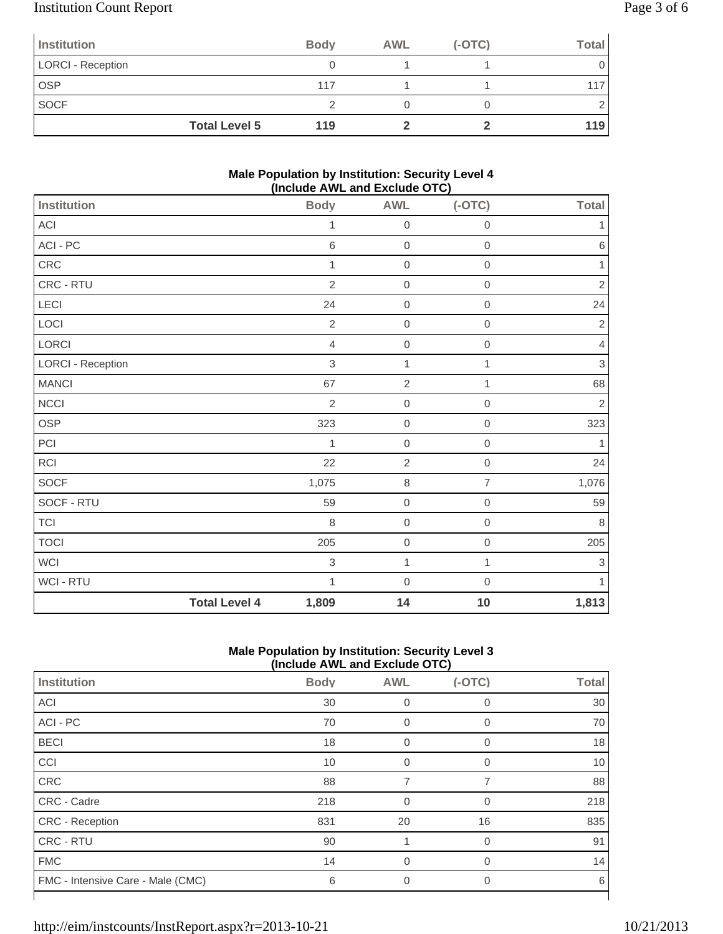## Institution Count Report Page 3 of 6

| Institution              |                      | <b>Body</b> | <b>AWL</b> | $(-OTC)$ | Total |
|--------------------------|----------------------|-------------|------------|----------|-------|
| <b>LORCI - Reception</b> |                      |             |            |          |       |
| <b>OSP</b>               |                      | 117         |            |          |       |
| <b>SOCF</b>              |                      |             |            |          |       |
|                          | <b>Total Level 5</b> | 119         |            |          | 119   |

### **Male Population by Institution: Security Level 4 (Include AWL and Exclude OTC)**

|                          |                      |                | - - - - -        |                     |                |
|--------------------------|----------------------|----------------|------------------|---------------------|----------------|
| Institution              |                      | <b>Body</b>    | <b>AWL</b>       | $(-OTC)$            | <b>Total</b>   |
| ACI                      |                      | 1              | $\mathbf 0$      | $\mathbf 0$         | 1              |
| ACI - PC                 |                      | $\,6$          | $\mbox{O}$       | $\mathsf{O}\xspace$ | $\,6$          |
| CRC                      |                      | 1              | $\boldsymbol{0}$ | $\mathbf 0$         | 1              |
| CRC - RTU                |                      | $\overline{2}$ | $\mathbf 0$      | $\boldsymbol{0}$    | $\overline{c}$ |
| LECI                     |                      | 24             | $\boldsymbol{0}$ | $\mathbf 0$         | 24             |
| LOCI                     |                      | $\sqrt{2}$     | $\mbox{O}$       | $\,0\,$             | $\sqrt{2}$     |
| LORCI                    |                      | $\overline{4}$ | $\boldsymbol{0}$ | $\mathbf 0$         | $\overline{4}$ |
| <b>LORCI - Reception</b> |                      | $\sqrt{3}$     | $\mathbf{1}$     | 1                   | $\,$ 3 $\,$    |
| <b>MANCI</b>             |                      | 67             | $\sqrt{2}$       | 1                   | 68             |
| <b>NCCI</b>              |                      | $\overline{2}$ | $\mbox{O}$       | $\mathsf{O}\xspace$ | $\sqrt{2}$     |
| OSP                      |                      | 323            | $\mathbf 0$      | $\mathbf 0$         | 323            |
| PCI                      |                      | $\mathbf{1}$   | $\boldsymbol{0}$ | $\mathbf 0$         | $\mathbf{1}$   |
| <b>RCI</b>               |                      | 22             | $\sqrt{2}$       | $\mathbf 0$         | 24             |
| SOCF                     |                      | 1,075          | $\,8\,$          | $\overline{7}$      | 1,076          |
| SOCF - RTU               |                      | 59             | $\boldsymbol{0}$ | $\mathbf 0$         | 59             |
| <b>TCI</b>               |                      | $\,8\,$        | $\boldsymbol{0}$ | $\mathbf 0$         | $\,8\,$        |
| <b>TOCI</b>              |                      | 205            | $\boldsymbol{0}$ | $\boldsymbol{0}$    | 205            |
| <b>WCI</b>               |                      | $\sqrt{3}$     | $\mathbf{1}$     | $\mathbf{1}$        | 3              |
| WCI - RTU                |                      | 1              | $\boldsymbol{0}$ | $\mathbf 0$         | 1              |
|                          | <b>Total Level 4</b> | 1,809          | 14               | 10                  | 1,813          |

### **Male Population by Institution: Security Level 3 (Include AWL and Exclude OTC)**

|                                   |             |                | $- - -$  |              |
|-----------------------------------|-------------|----------------|----------|--------------|
| Institution                       | <b>Body</b> | <b>AWL</b>     | $(-OTC)$ | <b>Total</b> |
| <b>ACI</b>                        | 30          | 0              | $\Omega$ | 30           |
| ACI - PC                          | 70          | 0              |          | 70           |
| <b>BECI</b>                       | 18          | $\overline{0}$ | $\Omega$ | 18           |
| CCI                               | 10          | $\overline{0}$ | $\Omega$ | 10           |
| CRC                               | 88          | 7              |          | 88           |
| <b>CRC - Cadre</b>                | 218         | $\Omega$       | $\Omega$ | 218          |
| <b>CRC</b> - Reception            | 831         | 20             | 16       | 835          |
| CRC - RTU                         | 90          |                | $\Omega$ | 91           |
| <b>FMC</b>                        | 14          | $\overline{0}$ | $\Omega$ | 14           |
| FMC - Intensive Care - Male (CMC) | 6           | $\Omega$       | $\Omega$ | 6            |
|                                   |             |                |          |              |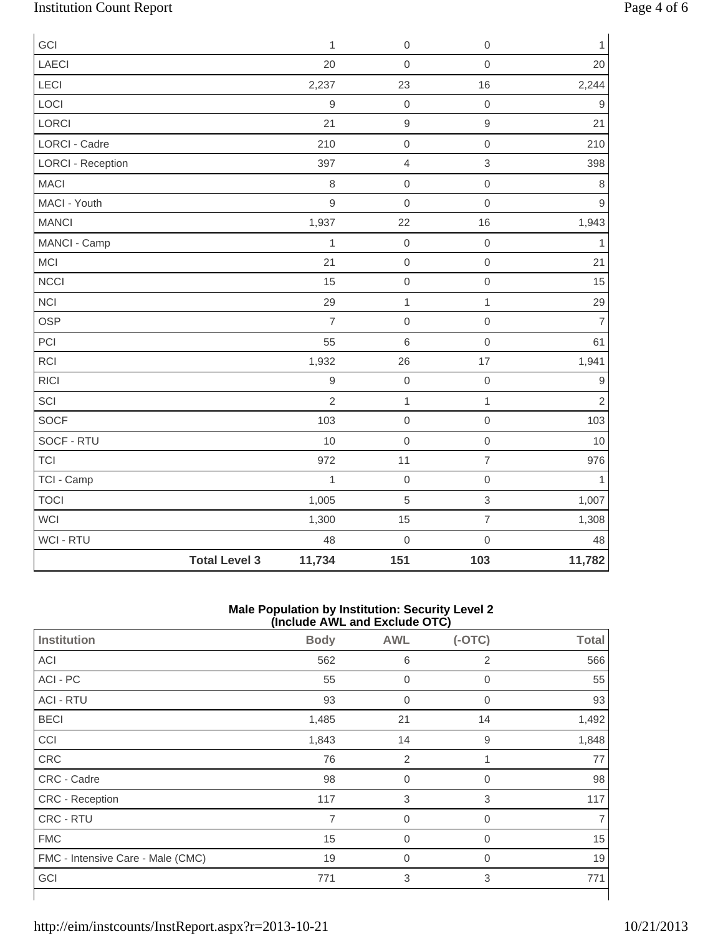# Institution Count Report Page 4 of 6

| GCI                      |                      | $\mathbf{1}$   | $\mathbf 0$         | $\mathbf 0$         | $\mathbf{1}$   |
|--------------------------|----------------------|----------------|---------------------|---------------------|----------------|
| LAECI                    |                      | 20             | $\mathsf{O}\xspace$ | $\mbox{O}$          | 20             |
| LECI                     |                      | 2,237          | 23                  | 16                  | 2,244          |
| LOCI                     |                      | $\overline{9}$ | $\,0\,$             | $\mathbf 0$         | $\hbox{9}$     |
| LORCI                    |                      | 21             | $\hbox{9}$          | $\mathsf g$         | 21             |
| LORCI - Cadre            |                      | 210            | $\mathsf{O}\xspace$ | $\mathbf 0$         | 210            |
| <b>LORCI - Reception</b> |                      | 397            | $\overline{4}$      | $\mathbf{3}$        | 398            |
| <b>MACI</b>              |                      | 8              | $\mathbf 0$         | $\mathbf 0$         | 8              |
| MACI - Youth             |                      | 9              | $\mathbf 0$         | $\mathbf 0$         | $\mathsf g$    |
| <b>MANCI</b>             |                      | 1,937          | 22                  | 16                  | 1,943          |
| MANCI - Camp             |                      | 1              | $\mathbf 0$         | $\mathbf 0$         | $\overline{1}$ |
| MCI                      |                      | 21             | $\,0\,$             | $\mbox{O}$          | 21             |
| <b>NCCI</b>              |                      | 15             | $\mathsf{O}\xspace$ | $\mathsf{O}\xspace$ | 15             |
| <b>NCI</b>               |                      | 29             | $\mathbf{1}$        | $\mathbf{1}$        | 29             |
| <b>OSP</b>               |                      | $\overline{7}$ | $\,0\,$             | $\mathbf 0$         | $\overline{7}$ |
| PCI                      |                      | 55             | $\,6$               | $\mathbf 0$         | 61             |
| RCI                      |                      | 1,932          | 26                  | 17                  | 1,941          |
| <b>RICI</b>              |                      | $\overline{9}$ | $\mathbf 0$         | $\mathbf 0$         | 9              |
| SCI                      |                      | $\overline{2}$ | $\mathbf{1}$        | $\mathbf{1}$        | $\overline{2}$ |
| SOCF                     |                      | 103            | $\,0\,$             | $\mbox{O}$          | 103            |
| SOCF - RTU               |                      | 10             | $\mathbf 0$         | $\mathbf 0$         | 10             |
| <b>TCI</b>               |                      | 972            | 11                  | $\overline{7}$      | 976            |
| TCI - Camp               |                      | $\mathbf{1}$   | $\,0\,$             | $\mbox{O}$          | $\mathbf{1}$   |
| <b>TOCI</b>              |                      | 1,005          | $\overline{5}$      | $\mathsf 3$         | 1,007          |
| <b>WCI</b>               |                      | 1,300          | 15                  | $\overline{7}$      | 1,308          |
| WCI - RTU                |                      | 48             | $\mathbf 0$         | $\mathsf{O}\xspace$ | 48             |
|                          | <b>Total Level 3</b> | 11,734         | 151                 | 103                 | 11,782         |

#### **Male Population by Institution: Security Level 2 (Include AWL and Exclude OTC)**

| Institution                       | <b>Body</b> | <b>AWL</b>     | $(-OTC)$       | <b>Total</b> |
|-----------------------------------|-------------|----------------|----------------|--------------|
| ACI                               | 562         | 6              | 2              | 566          |
| ACI - PC                          | 55          | $\mathbf 0$    | $\overline{0}$ | 55           |
| <b>ACI - RTU</b>                  | 93          | $\mathbf 0$    | $\mathbf 0$    | 93           |
| <b>BECI</b>                       | 1,485       | 21             | 14             | 1,492        |
| CCI                               | 1,843       | 14             | 9              | 1,848        |
| CRC                               | 76          | $\overline{2}$ | 1              | 77           |
| CRC - Cadre                       | 98          | $\mathbf 0$    | $\mathbf 0$    | 98           |
| CRC - Reception                   | 117         | 3              | 3              | 117          |
| CRC - RTU                         | 7           | $\overline{0}$ | $\mathbf 0$    |              |
| <b>FMC</b>                        | 15          | $\mathbf 0$    | $\overline{0}$ | 15           |
| FMC - Intensive Care - Male (CMC) | 19          | $\mathbf 0$    | 0              | 19           |
| GCI                               | 771         | 3              | 3              | 771          |
|                                   |             |                |                |              |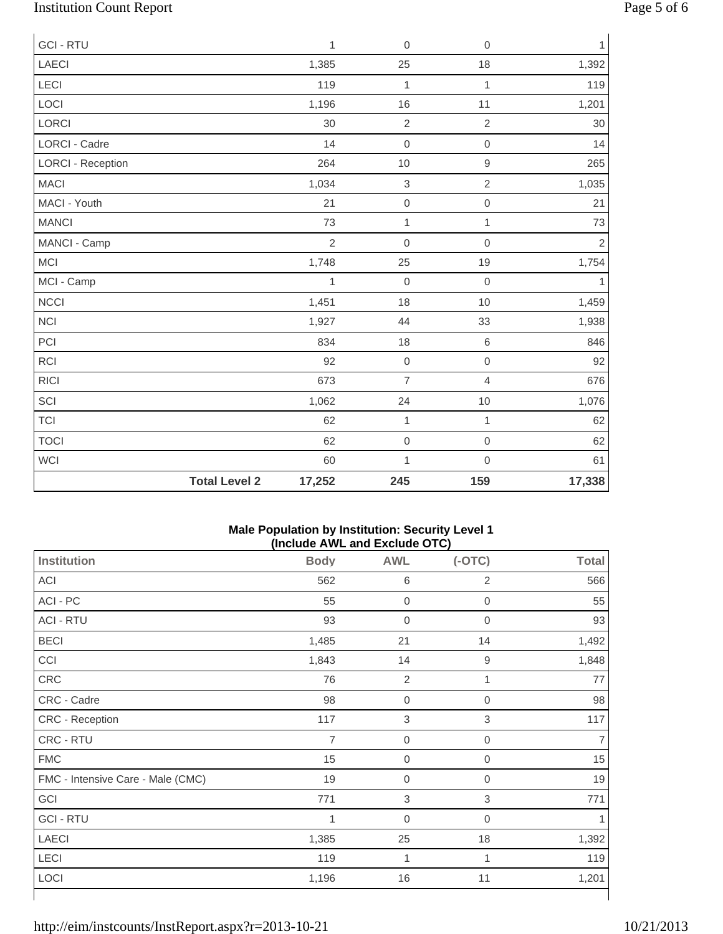# Institution Count Report Page 5 of 6

| <b>GCI - RTU</b>         |                      | $\mathbf{1}$   | $\mathbf 0$         | $\mathbf 0$    | $\mathbf{1}$ |
|--------------------------|----------------------|----------------|---------------------|----------------|--------------|
| <b>LAECI</b>             |                      | 1,385          | 25                  | 18             | 1,392        |
| LECI                     |                      | 119            | $\mathbf 1$         | $\mathbf{1}$   | 119          |
| LOCI                     |                      | 1,196          | 16                  | 11             | 1,201        |
| LORCI                    |                      | 30             | $\sqrt{2}$          | $\sqrt{2}$     | $30\,$       |
| <b>LORCI - Cadre</b>     |                      | 14             | $\mathbf 0$         | $\mathbf 0$    | 14           |
| <b>LORCI - Reception</b> |                      | 264            | $10$                | $\hbox{9}$     | 265          |
| <b>MACI</b>              |                      | 1,034          | $\,$ 3 $\,$         | $\overline{2}$ | 1,035        |
| MACI - Youth             |                      | 21             | $\mathsf{O}\xspace$ | $\mbox{O}$     | 21           |
| <b>MANCI</b>             |                      | 73             | 1                   | $\mathbf{1}$   | 73           |
| MANCI - Camp             |                      | $\overline{2}$ | $\mathbf 0$         | $\mathbf 0$    | $\sqrt{2}$   |
| <b>MCI</b>               |                      | 1,748          | 25                  | 19             | 1,754        |
| MCI - Camp               |                      | 1              | $\mathbf 0$         | $\mathbf 0$    | 1            |
| <b>NCCI</b>              |                      | 1,451          | 18                  | 10             | 1,459        |
| <b>NCI</b>               |                      | 1,927          | 44                  | 33             | 1,938        |
| PCI                      |                      | 834            | 18                  | $\,6$          | 846          |
| RCI                      |                      | 92             | $\mathbf 0$         | $\mathbf 0$    | 92           |
| <b>RICI</b>              |                      | 673            | $\overline{7}$      | $\overline{4}$ | 676          |
| SCI                      |                      | 1,062          | 24                  | 10             | 1,076        |
| <b>TCI</b>               |                      | 62             | 1                   | $\mathbf{1}$   | 62           |
| <b>TOCI</b>              |                      | 62             | $\mbox{O}$          | $\mathbf 0$    | 62           |
| <b>WCI</b>               |                      | 60             | 1                   | $\mathbf 0$    | 61           |
|                          | <b>Total Level 2</b> | 17,252         | 245                 | 159            | 17,338       |

#### **Male Population by Institution: Security Level 1 (Include AWL and Exclude OTC)**

| <b>Institution</b>                | <b>Body</b>    | <b>AWL</b>                | $(-OTC)$         | <b>Total</b> |
|-----------------------------------|----------------|---------------------------|------------------|--------------|
| ACI                               | 562            | $\,6$                     | $\overline{2}$   | 566          |
| ACI - PC                          | 55             | $\boldsymbol{0}$          | 0                | 55           |
| <b>ACI - RTU</b>                  | 93             | $\boldsymbol{0}$          | 0                | 93           |
| <b>BECI</b>                       | 1,485          | 21                        | 14               | 1,492        |
| CCI                               | 1,843          | 14                        | $\boldsymbol{9}$ | 1,848        |
| CRC                               | 76             | $\overline{2}$            | 1                | 77           |
| CRC - Cadre                       | 98             | $\boldsymbol{0}$          | $\boldsymbol{0}$ | 98           |
| CRC - Reception                   | 117            | $\mathsf 3$               | $\sqrt{3}$       | 117          |
| CRC - RTU                         | $\overline{7}$ | $\boldsymbol{0}$          | $\boldsymbol{0}$ | 7            |
| <b>FMC</b>                        | 15             | $\boldsymbol{0}$          | 0                | 15           |
| FMC - Intensive Care - Male (CMC) | 19             | $\boldsymbol{0}$          | 0                | 19           |
| GCI                               | 771            | $\ensuremath{\mathsf{3}}$ | 3                | 771          |
| <b>GCI - RTU</b>                  | 1              | $\mathbf 0$               | 0                |              |
| <b>LAECI</b>                      | 1,385          | 25                        | 18               | 1,392        |
| LECI                              | 119            | 1                         | 1                | 119          |
| LOCI                              | 1,196          | 16                        | 11               | 1,201        |
|                                   |                |                           |                  |              |